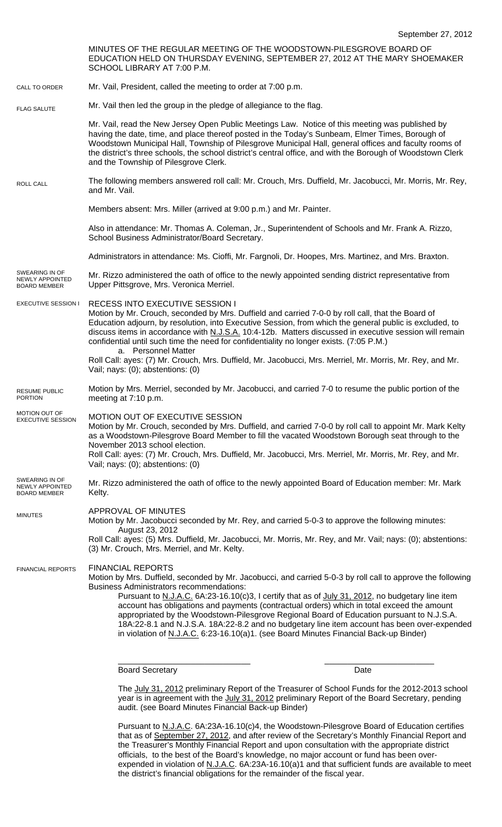EXECUTIVE SESSION I MINUTES OF THE REGULAR MEETING OF THE WOODSTOWN-PILESGROVE BOARD OF EDUCATION HELD ON THURSDAY EVENING, SEPTEMBER 27, 2012 AT THE MARY SHOEMAKER SCHOOL LIBRARY AT 7:00 P.M. Mr. Vail, President, called the meeting to order at 7:00 p.m. Mr. Vail then led the group in the pledge of allegiance to the flag. Mr. Vail, read the New Jersey Open Public Meetings Law. Notice of this meeting was published by having the date, time, and place thereof posted in the Today's Sunbeam, Elmer Times, Borough of Woodstown Municipal Hall, Township of Pilesgrove Municipal Hall, general offices and faculty rooms of the district's three schools, the school district's central office, and with the Borough of Woodstown Clerk and the Township of Pilesgrove Clerk. The following members answered roll call: Mr. Crouch, Mrs. Duffield, Mr. Jacobucci, Mr. Morris, Mr. Rey, and Mr. Vail. Members absent: Mrs. Miller (arrived at 9:00 p.m.) and Mr. Painter. Also in attendance: Mr. Thomas A. Coleman, Jr., Superintendent of Schools and Mr. Frank A. Rizzo, School Business Administrator/Board Secretary. Administrators in attendance: Ms. Cioffi, Mr. Fargnoli, Dr. Hoopes, Mrs. Martinez, and Mrs. Braxton. Mr. Rizzo administered the oath of office to the newly appointed sending district representative from Upper Pittsgrove, Mrs. Veronica Merriel. RECESS INTO EXECUTIVE SESSION I Motion by Mr. Crouch, seconded by Mrs. Duffield and carried 7-0-0 by roll call, that the Board of Education adjourn, by resolution, into Executive Session, from which the general public is excluded, to discuss items in accordance with N.J.S.A. 10:4-12b. Matters discussed in executive session will remain confidential until such time the need for confidentiality no longer exists. (7:05 P.M.) a. Personnel Matter Roll Call: ayes: (7) Mr. Crouch, Mrs. Duffield, Mr. Jacobucci, Mrs. Merriel, Mr. Morris, Mr. Rey, and Mr. Vail; nays: (0); abstentions: (0) Motion by Mrs. Merriel, seconded by Mr. Jacobucci, and carried 7-0 to resume the public portion of the meeting at 7:10 p.m. MOTION OUT OF EXECUTIVE SESSION Motion by Mr. Crouch, seconded by Mrs. Duffield, and carried 7-0-0 by roll call to appoint Mr. Mark Kelty as a Woodstown-Pilesgrove Board Member to fill the vacated Woodstown Borough seat through to the November 2013 school election. Roll Call: ayes: (7) Mr. Crouch, Mrs. Duffield, Mr. Jacobucci, Mrs. Merriel, Mr. Morris, Mr. Rey, and Mr. Vail; nays: (0); abstentions: (0) Mr. Rizzo administered the oath of office to the newly appointed Board of Education member: Mr. Mark Kelty. APPROVAL OF MINUTES Motion by Mr. Jacobucci seconded by Mr. Rey, and carried 5-0-3 to approve the following minutes: August 23, 2012 Roll Call: ayes: (5) Mrs. Duffield, Mr. Jacobucci, Mr. Morris, Mr. Rey, and Mr. Vail; nays: (0); abstentions: (3) Mr. Crouch, Mrs. Merriel, and Mr. Kelty. FINANCIAL REPORTS Motion by Mrs. Duffield, seconded by Mr. Jacobucci, and carried 5-0-3 by roll call to approve the following Business Administrators recommendations: Pursuant to N.J.A.C. 6A:23-16.10(c)3, I certify that as of July 31, 2012, no budgetary line item account has obligations and payments (contractual orders) which in total exceed the amount appropriated by the Woodstown-Pilesgrove Regional Board of Education pursuant to N.J.S.A. 18A:22-8.1 and N.J.S.A. 18A:22-8.2 and no budgetary line item account has been over-expended in violation of N.J.A.C. 6:23-16.10(a)1. (see Board Minutes Financial Back-up Binder) \_\_\_\_\_\_\_\_\_\_\_\_\_\_\_\_\_\_\_\_\_\_\_\_\_\_\_\_\_ \_\_\_\_\_\_\_\_\_\_\_\_\_\_\_\_\_\_\_\_\_\_\_\_ Board Secretary **Date** The July 31, 2012 preliminary Report of the Treasurer of School Funds for the 2012-2013 school year is in agreement with the July 31, 2012 preliminary Report of the Board Secretary, pending audit. (see Board Minutes Financial Back-up Binder) CALL TO ORDER ROLL CALL FLAG SALUTE MINUTES FINANCIAL REPORTS SWEARING IN OF NEWLY APPOINTED BOARD MEMBER RESUME PUBLIC PORTION MOTION OUT OF EXECUTIVE SESSION SWEARING IN OF NEWLY APPOINTED BOARD MEMBER

> Pursuant to N.J.A.C. 6A:23A-16.10(c)4, the Woodstown-Pilesgrove Board of Education certifies that as of September 27, 2012, and after review of the Secretary's Monthly Financial Report and the Treasurer's Monthly Financial Report and upon consultation with the appropriate district officials, to the best of the Board's knowledge, no major account or fund has been overexpended in violation of N.J.A.C. 6A:23A-16.10(a)1 and that sufficient funds are available to meet the district's financial obligations for the remainder of the fiscal year.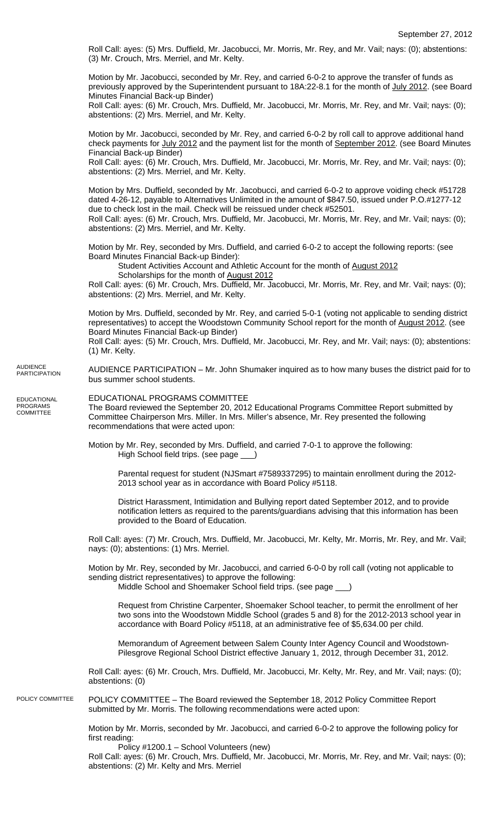Roll Call: ayes: (5) Mrs. Duffield, Mr. Jacobucci, Mr. Morris, Mr. Rey, and Mr. Vail; nays: (0); abstentions: (3) Mr. Crouch, Mrs. Merriel, and Mr. Kelty.

Motion by Mr. Jacobucci, seconded by Mr. Rey, and carried 6-0-2 to approve the transfer of funds as previously approved by the Superintendent pursuant to 18A:22-8.1 for the month of July 2012. (see Board Minutes Financial Back-up Binder)

Roll Call: ayes: (6) Mr. Crouch, Mrs. Duffield, Mr. Jacobucci, Mr. Morris, Mr. Rey, and Mr. Vail; nays: (0); abstentions: (2) Mrs. Merriel, and Mr. Kelty.

Motion by Mr. Jacobucci, seconded by Mr. Rey, and carried 6-0-2 by roll call to approve additional hand check payments for July 2012 and the payment list for the month of September 2012. (see Board Minutes Financial Back-up Binder)

Roll Call: ayes: (6) Mr. Crouch, Mrs. Duffield, Mr. Jacobucci, Mr. Morris, Mr. Rey, and Mr. Vail; nays: (0); abstentions: (2) Mrs. Merriel, and Mr. Kelty.

Motion by Mrs. Duffield, seconded by Mr. Jacobucci, and carried 6-0-2 to approve voiding check #51728 dated 4-26-12, payable to Alternatives Unlimited in the amount of \$847.50, issued under P.O.#1277-12 due to check lost in the mail. Check will be reissued under check #52501. Roll Call: ayes: (6) Mr. Crouch, Mrs. Duffield, Mr. Jacobucci, Mr. Morris, Mr. Rey, and Mr. Vail; nays: (0);

abstentions: (2) Mrs. Merriel, and Mr. Kelty.

Motion by Mr. Rey, seconded by Mrs. Duffield, and carried 6-0-2 to accept the following reports: (see Board Minutes Financial Back-up Binder):

Student Activities Account and Athletic Account for the month of August 2012

Scholarships for the month of August 2012

Roll Call: ayes: (6) Mr. Crouch, Mrs. Duffield, Mr. Jacobucci, Mr. Morris, Mr. Rey, and Mr. Vail; nays: (0); abstentions: (2) Mrs. Merriel, and Mr. Kelty.

Motion by Mrs. Duffield, seconded by Mr. Rey, and carried 5-0-1 (voting not applicable to sending district representatives) to accept the Woodstown Community School report for the month of August 2012. (see Board Minutes Financial Back-up Binder)

Roll Call: ayes: (5) Mr. Crouch, Mrs. Duffield, Mr. Jacobucci, Mr. Rey, and Mr. Vail; nays: (0); abstentions: (1) Mr. Kelty.

AUDIENCE PARTICIPATION – Mr. John Shumaker inquired as to how many buses the district paid for to bus summer school students. AUDIENCE PARTICIPATION

EDUCATIONAL PROGRAMS COMMITTEE

EDUCATIONAL PROGRAMS COMMITTEE The Board reviewed the September 20, 2012 Educational Programs Committee Report submitted by Committee Chairperson Mrs. Miller. In Mrs. Miller's absence, Mr. Rey presented the following recommendations that were acted upon:

Motion by Mr. Rey, seconded by Mrs. Duffield, and carried 7-0-1 to approve the following: High School field trips. (see page \_\_\_)

Parental request for student (NJSmart #7589337295) to maintain enrollment during the 2012-2013 school year as in accordance with Board Policy #5118.

District Harassment, Intimidation and Bullying report dated September 2012, and to provide notification letters as required to the parents/guardians advising that this information has been provided to the Board of Education.

Roll Call: ayes: (7) Mr. Crouch, Mrs. Duffield, Mr. Jacobucci, Mr. Kelty, Mr. Morris, Mr. Rey, and Mr. Vail; nays: (0); abstentions: (1) Mrs. Merriel.

Motion by Mr. Rey, seconded by Mr. Jacobucci, and carried 6-0-0 by roll call (voting not applicable to sending district representatives) to approve the following: Middle School and Shoemaker School field trips. (see page \_\_\_)

Request from Christine Carpenter, Shoemaker School teacher, to permit the enrollment of her two sons into the Woodstown Middle School (grades 5 and 8) for the 2012-2013 school year in accordance with Board Policy #5118, at an administrative fee of \$5,634.00 per child.

Memorandum of Agreement between Salem County Inter Agency Council and Woodstown-Pilesgrove Regional School District effective January 1, 2012, through December 31, 2012.

Roll Call: ayes: (6) Mr. Crouch, Mrs. Duffield, Mr. Jacobucci, Mr. Kelty, Mr. Rey, and Mr. Vail; nays: (0); abstentions: (0)

POLICY COMMITTEE – The Board reviewed the September 18, 2012 Policy Committee Report submitted by Mr. Morris. The following recommendations were acted upon: POLICY COMMITTEE

> Motion by Mr. Morris, seconded by Mr. Jacobucci, and carried 6-0-2 to approve the following policy for first reading:

Policy #1200.1 – School Volunteers (new)

Roll Call: ayes: (6) Mr. Crouch, Mrs. Duffield, Mr. Jacobucci, Mr. Morris, Mr. Rey, and Mr. Vail; nays: (0); abstentions: (2) Mr. Kelty and Mrs. Merriel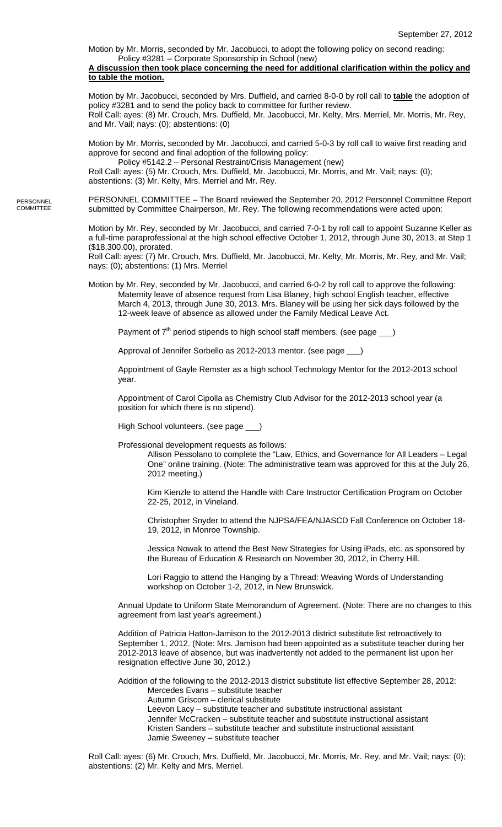Motion by Mr. Morris, seconded by Mr. Jacobucci, to adopt the following policy on second reading: Policy #3281 – Corporate Sponsorship in School (new)

## **A discussion then took place concerning the need for additional clarification within the policy and to table the motion.**

Motion by Mr. Jacobucci, seconded by Mrs. Duffield, and carried 8-0-0 by roll call to **table** the adoption of policy #3281 and to send the policy back to committee for further review. Roll Call: ayes: (8) Mr. Crouch, Mrs. Duffield, Mr. Jacobucci, Mr. Kelty, Mrs. Merriel, Mr. Morris, Mr. Rey, and Mr. Vail; nays: (0); abstentions: (0)

Motion by Mr. Morris, seconded by Mr. Jacobucci, and carried 5-0-3 by roll call to waive first reading and approve for second and final adoption of the following policy:

 Policy #5142.2 – Personal Restraint/Crisis Management (new) Roll Call: ayes: (5) Mr. Crouch, Mrs. Duffield, Mr. Jacobucci, Mr. Morris, and Mr. Vail; nays: (0); abstentions: (3) Mr. Kelty, Mrs. Merriel and Mr. Rey.

PERSONNEL COMMITTEE – The Board reviewed the September 20, 2012 Personnel Committee Report submitted by Committee Chairperson, Mr. Rey. The following recommendations were acted upon: PERSONNEL **COMMITTEE** 

> Motion by Mr. Rey, seconded by Mr. Jacobucci, and carried 7-0-1 by roll call to appoint Suzanne Keller as a full-time paraprofessional at the high school effective October 1, 2012, through June 30, 2013, at Step 1 (\$18,300.00), prorated.

Roll Call: ayes: (7) Mr. Crouch, Mrs. Duffield, Mr. Jacobucci, Mr. Kelty, Mr. Morris, Mr. Rey, and Mr. Vail; nays: (0); abstentions: (1) Mrs. Merriel

Motion by Mr. Rey, seconded by Mr. Jacobucci, and carried 6-0-2 by roll call to approve the following: Maternity leave of absence request from Lisa Blaney, high school English teacher, effective March 4, 2013, through June 30, 2013. Mrs. Blaney will be using her sick days followed by the 12-week leave of absence as allowed under the Family Medical Leave Act.

Payment of  $7<sup>th</sup>$  period stipends to high school staff members. (see page  $\qquad$ )

Approval of Jennifer Sorbello as 2012-2013 mentor. (see page \_

Appointment of Gayle Remster as a high school Technology Mentor for the 2012-2013 school year.

Appointment of Carol Cipolla as Chemistry Club Advisor for the 2012-2013 school year (a position for which there is no stipend).

High School volunteers. (see page \_\_\_)

Professional development requests as follows:

Allison Pessolano to complete the "Law, Ethics, and Governance for All Leaders – Legal One" online training. (Note: The administrative team was approved for this at the July 26, 2012 meeting.)

Kim Kienzle to attend the Handle with Care Instructor Certification Program on October 22-25, 2012, in Vineland.

Christopher Snyder to attend the NJPSA/FEA/NJASCD Fall Conference on October 18- 19, 2012, in Monroe Township.

Jessica Nowak to attend the Best New Strategies for Using iPads, etc. as sponsored by the Bureau of Education & Research on November 30, 2012, in Cherry Hill.

Lori Raggio to attend the Hanging by a Thread: Weaving Words of Understanding workshop on October 1-2, 2012, in New Brunswick.

Annual Update to Uniform State Memorandum of Agreement. (Note: There are no changes to this agreement from last year's agreement.)

Addition of Patricia Hatton-Jamison to the 2012-2013 district substitute list retroactively to September 1, 2012. (Note: Mrs. Jamison had been appointed as a substitute teacher during her 2012-2013 leave of absence, but was inadvertently not added to the permanent list upon her resignation effective June 30, 2012.)

Addition of the following to the 2012-2013 district substitute list effective September 28, 2012: Mercedes Evans – substitute teacher Autumn Griscom – clerical substitute Leevon Lacy – substitute teacher and substitute instructional assistant Jennifer McCracken – substitute teacher and substitute instructional assistant Kristen Sanders – substitute teacher and substitute instructional assistant Jamie Sweeney – substitute teacher

Roll Call: ayes: (6) Mr. Crouch, Mrs. Duffield, Mr. Jacobucci, Mr. Morris, Mr. Rey, and Mr. Vail; nays: (0); abstentions: (2) Mr. Kelty and Mrs. Merriel.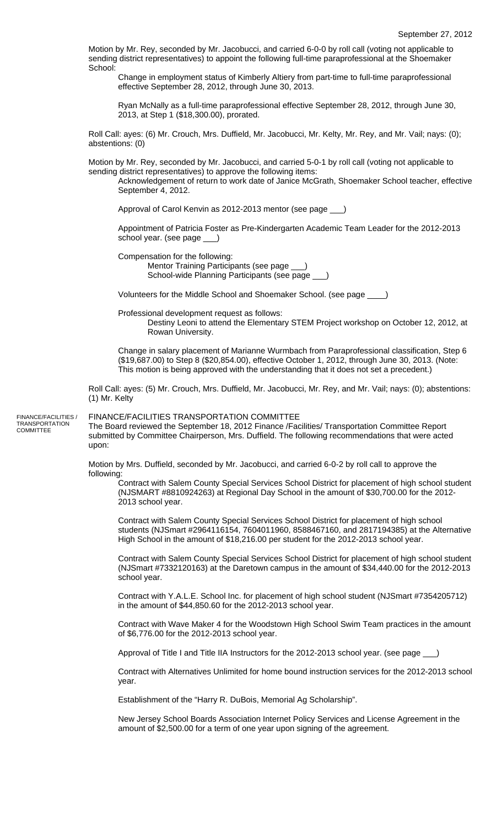Motion by Mr. Rey, seconded by Mr. Jacobucci, and carried 6-0-0 by roll call (voting not applicable to sending district representatives) to appoint the following full-time paraprofessional at the Shoemaker School:

Change in employment status of Kimberly Altiery from part-time to full-time paraprofessional effective September 28, 2012, through June 30, 2013.

Ryan McNally as a full-time paraprofessional effective September 28, 2012, through June 30, 2013, at Step 1 (\$18,300.00), prorated.

Roll Call: ayes: (6) Mr. Crouch, Mrs. Duffield, Mr. Jacobucci, Mr. Kelty, Mr. Rey, and Mr. Vail; nays: (0); abstentions: (0)

Motion by Mr. Rey, seconded by Mr. Jacobucci, and carried 5-0-1 by roll call (voting not applicable to sending district representatives) to approve the following items:

Acknowledgement of return to work date of Janice McGrath, Shoemaker School teacher, effective September 4, 2012.

Approval of Carol Kenvin as 2012-2013 mentor (see page \_\_\_)

Appointment of Patricia Foster as Pre-Kindergarten Academic Team Leader for the 2012-2013 school year. (see page \_\_\_)

Compensation for the following:

Mentor Training Participants (see page \_\_\_) School-wide Planning Participants (see page

Volunteers for the Middle School and Shoemaker School. (see page \_\_\_\_)

Professional development request as follows:

Destiny Leoni to attend the Elementary STEM Project workshop on October 12, 2012, at Rowan University.

Change in salary placement of Marianne Wurmbach from Paraprofessional classification, Step 6 (\$19,687.00) to Step 8 (\$20,854.00), effective October 1, 2012, through June 30, 2013. (Note: This motion is being approved with the understanding that it does not set a precedent.)

Roll Call: ayes: (5) Mr. Crouch, Mrs. Duffield, Mr. Jacobucci, Mr. Rey, and Mr. Vail; nays: (0); abstentions: (1) Mr. Kelty

FINANCE/FACILITIES / TRANSPORTATION COMMITTEE

## FINANCE/FACILITIES TRANSPORTATION COMMITTEE

The Board reviewed the September 18, 2012 Finance /Facilities/ Transportation Committee Report submitted by Committee Chairperson, Mrs. Duffield. The following recommendations that were acted upon:

Motion by Mrs. Duffield, seconded by Mr. Jacobucci, and carried 6-0-2 by roll call to approve the following:

Contract with Salem County Special Services School District for placement of high school student (NJSMART #8810924263) at Regional Day School in the amount of \$30,700.00 for the 2012- 2013 school year.

Contract with Salem County Special Services School District for placement of high school students (NJSmart #2964116154, 7604011960, 8588467160, and 2817194385) at the Alternative High School in the amount of \$18,216.00 per student for the 2012-2013 school year.

Contract with Salem County Special Services School District for placement of high school student (NJSmart #7332120163) at the Daretown campus in the amount of \$34,440.00 for the 2012-2013 school year.

Contract with Y.A.L.E. School Inc. for placement of high school student (NJSmart #7354205712) in the amount of \$44,850.60 for the 2012-2013 school year.

Contract with Wave Maker 4 for the Woodstown High School Swim Team practices in the amount of \$6,776.00 for the 2012-2013 school year.

Approval of Title I and Title IIA Instructors for the 2012-2013 school year. (see page \_

Contract with Alternatives Unlimited for home bound instruction services for the 2012-2013 school year.

Establishment of the "Harry R. DuBois, Memorial Ag Scholarship".

New Jersey School Boards Association Internet Policy Services and License Agreement in the amount of \$2,500.00 for a term of one year upon signing of the agreement.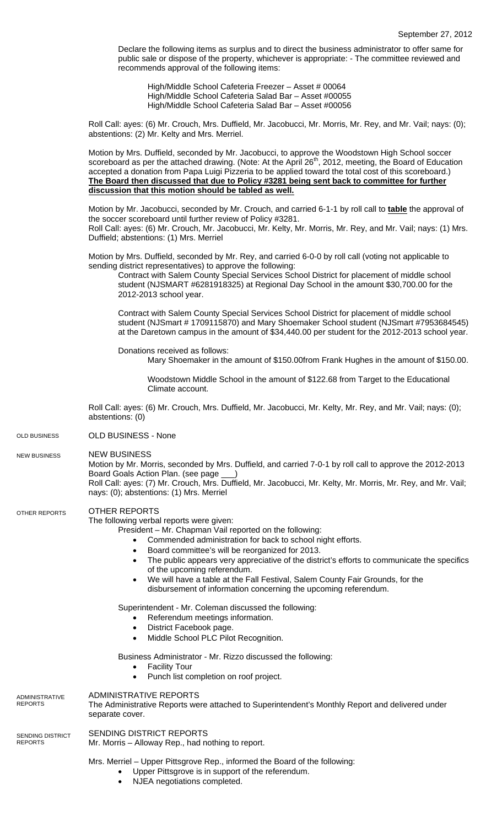Declare the following items as surplus and to direct the business administrator to offer same for public sale or dispose of the property, whichever is appropriate: - The committee reviewed and recommends approval of the following items:

High/Middle School Cafeteria Freezer - Asset # 00064 High/Middle School Cafeteria Salad Bar – Asset #00055 High/Middle School Cafeteria Salad Bar – Asset #00056

Roll Call: ayes: (6) Mr. Crouch, Mrs. Duffield, Mr. Jacobucci, Mr. Morris, Mr. Rey, and Mr. Vail; nays: (0); abstentions: (2) Mr. Kelty and Mrs. Merriel.

Motion by Mrs. Duffield, seconded by Mr. Jacobucci, to approve the Woodstown High School soccer scoreboard as per the attached drawing. (Note: At the April 26<sup>th</sup>, 2012, meeting, the Board of Education accepted a donation from Papa Luigi Pizzeria to be applied toward the total cost of this scoreboard.) **The Board then discussed that due to Policy #3281 being sent back to committee for further discussion that this motion should be tabled as well.** 

Motion by Mr. Jacobucci, seconded by Mr. Crouch, and carried 6-1-1 by roll call to **table** the approval of the soccer scoreboard until further review of Policy #3281. Roll Call: ayes: (6) Mr. Crouch, Mr. Jacobucci, Mr. Kelty, Mr. Morris, Mr. Rey, and Mr. Vail; nays: (1) Mrs. Duffield; abstentions: (1) Mrs. Merriel

Motion by Mrs. Duffield, seconded by Mr. Rey, and carried 6-0-0 by roll call (voting not applicable to sending district representatives) to approve the following:

Contract with Salem County Special Services School District for placement of middle school student (NJSMART #6281918325) at Regional Day School in the amount \$30,700.00 for the 2012-2013 school year.

Contract with Salem County Special Services School District for placement of middle school student (NJSmart # 1709115870) and Mary Shoemaker School student (NJSmart #7953684545) at the Daretown campus in the amount of \$34,440.00 per student for the 2012-2013 school year.

Donations received as follows:

Mary Shoemaker in the amount of \$150.00from Frank Hughes in the amount of \$150.00.

Woodstown Middle School in the amount of \$122.68 from Target to the Educational Climate account.

Roll Call: ayes: (6) Mr. Crouch, Mrs. Duffield, Mr. Jacobucci, Mr. Kelty, Mr. Rey, and Mr. Vail; nays: (0); abstentions: (0)

OLD BUSINESS - None OLD BUSINESS

NEW BUSINESS NEW BUSINESS

> Motion by Mr. Morris, seconded by Mrs. Duffield, and carried 7-0-1 by roll call to approve the 2012-2013 Board Goals Action Plan. (see page

> Roll Call: ayes: (7) Mr. Crouch, Mrs. Duffield, Mr. Jacobucci, Mr. Kelty, Mr. Morris, Mr. Rey, and Mr. Vail; nays: (0); abstentions: (1) Mrs. Merriel

## OTHER REPORTS OTHER REPORTS

The following verbal reports were given:

- President Mr. Chapman Vail reported on the following:
	- Commended administration for back to school night efforts.
	- Board committee's will be reorganized for 2013.
	- The public appears very appreciative of the district's efforts to communicate the specifics of the upcoming referendum.
	- We will have a table at the Fall Festival, Salem County Fair Grounds, for the disbursement of information concerning the upcoming referendum.

Superintendent - Mr. Coleman discussed the following:

- Referendum meetings information.
- District Facebook page.
- Middle School PLC Pilot Recognition.

Business Administrator - Mr. Rizzo discussed the following:

- **Facility Tour**
- Punch list completion on roof project.

| ADMINISTRATIVE<br>REPORTS   | ADMINISTRATIVE REPORTS<br>The Administrative Reports were attached to Superintendent's Monthly Report and delivered under<br>separate cover. |
|-----------------------------|----------------------------------------------------------------------------------------------------------------------------------------------|
| SENDING DISTRICT<br>REPORTS | SENDING DISTRICT REPORTS<br>Mr. Morris – Alloway Rep., had nothing to report.                                                                |
|                             | Mrs. Merriel - Upper Pittsgrove Rep., informed the Board of the following:<br>Upper Pittsgrove is in support of the referendum.              |

NJEA negotiations completed.